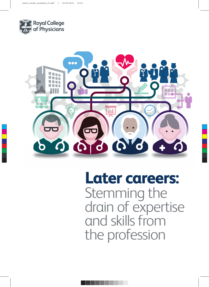



**Later careers:** Stemming the drain of expertise and skills from the profession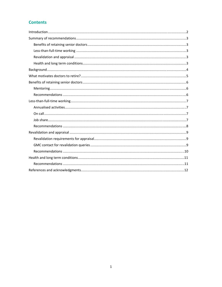# **Contents**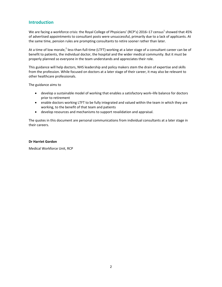### <span id="page-2-0"></span>**Introduction**

We are facing a workforce crisis: the Royal College of Physicians' (RCP's) 2016–17 census<sup>1</sup> showed that 45% of advertised appointments to consultant posts were unsuccessful, primarily due to a lack of applicants. At the same time, pension rules are prompting consultants to retire sooner rather than later.

At a time of low morale,<sup>2</sup> less-than-full-time (LTFT) working at a later stage of a consultant career can be of benefit to patients, the individual doctor, the hospital and the wider medical community. But it must be properly planned so everyone in the team understands and appreciates their role.

This guidance will help doctors, NHS leadership and policy makers stem the drain of expertise and skills from the profession. While focused on doctors at a later stage of their career, it may also be relevant to other healthcare professionals.

The guidance aims to

- develop a sustainable model of working that enables a satisfactory work–life balance for doctors prior to retirement
- enable doctors working LTFT to be fully integrated and valued within the team in which they are working, to the benefit of that team and patients
- develop resources and mechanisms to support revalidation and appraisal.

The quotes in this document are personal communications from individual consultants at a later stage in their careers.

#### **Dr Harriet Gordon**

Medical Workforce Unit, RCP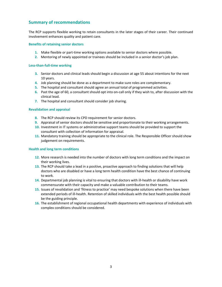### <span id="page-3-0"></span>**Summary of recommendations**

The RCP supports flexible working to retain consultants in the later stages of their career. Their continued involvement enhances quality and patient care.

#### **Benefits of retaining senior doctors**

- **1.** Make flexible or part-time working options available to senior doctors where possible.
- **2.** Mentoring of newly appointed or trainees should be included in a senior doctor's job plan.

#### **Less‐than‐full‐time working**

- **3.** Senior doctors and clinical leads should begin a discussion at age 55 about intentions for the next 10 years.
- **4.** Job planning should be done as a department to make sure roles are complementary.
- **5.** The hospital and consultant should agree an annual total of programmed activities.
- **6.** Past the age of 60, a consultant should opt into on‐call only if they wish to, after discussion with the clinical lead.
- **7.** The hospital and consultant should consider job sharing.

#### **Revalidation and appraisal**

- **8.** The RCP should review its CPD requirement for senior doctors.
- **9.** Appraisal of senior doctors should be sensitive and proportionate to their working arrangements.
- **10.** Investment in IT systems or administrative support teams should be provided to support the consultant with collection of information for appraisal.
- **11.** Mandatory training should be appropriate to the clinical role. The Responsible Officer should show judgement on requirements.

#### **Health and long term conditions**

- **12.** More research is needed into the number of doctors with long term conditions and the impact on their working lives.
- **13.** The RCP should take a lead in a positive, proactive approach to finding solutions that will help doctors who are disabled or have a long term health condition have the best chance of continuing to work.
- 14. Departmental job planning is vital to ensuring that doctors with ill-health or disability have work commensurate with their capacity and make a valuable contribution to their teams.
- **15.** Issues of revalidation and 'fitness to practice' may need bespoke solutions when there have been extended periods of ill‐health. Retention of skilled individuals with the best health possible should be the guiding principle.
- **16.** The establishment of regional occupational health departments with experience of individuals with complex conditions should be considered.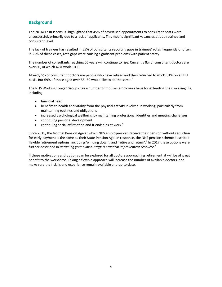## <span id="page-4-0"></span>**Background**

The 2016/17 RCP census<sup>1</sup> highlighted that 45% of advertised appointments to consultant posts were unsuccessful, primarily due to a lack of applicants. This means significant vacancies at both trainee and consultant level.

The lack of trainees has resulted in 55% of consultants reporting gaps in trainees' rotas frequently or often. In 22% of these cases, rota gaps were causing significant problems with patient safety.

The number of consultants reaching 60 years will continue to rise. Currently 8% of consultant doctors are over 60, of which 47% work LTFT.

Already 5% of consultant doctors are people who have retired and then returned to work, 81% on a LTFT basis. But 69% of those aged over 55–60 would like to do the same. $3$ 

The NHS Working Longer Group cites a number of motives employees have for extending their working life, including

- financial need
- benefits to health and vitality from the physical activity involved in working, particularly from maintaining routines and obligations
- increased psychological wellbeing by maintaining professional identities and meeting challenges
- continuing personal development
- continuing social affirmation and friendships at work. $4$

Since 2015, the Normal Pension Age at which NHS employees can receive their pension without reduction for early payment is the same as their State Pension Age. In response, the NHS pension scheme described flexible retirement options, including 'winding down', and 'retire and return'.<sup>4</sup> In 2017 these options were further described in *Retaining your clinical staff: a practical improvement resource*. 5

If these motivations and options can be explored for all doctors approaching retirement, it will be of great benefit to the workforce. Taking a flexible approach will increase the number of available doctors, and make sure their skills and experience remain available and up‐to‐date.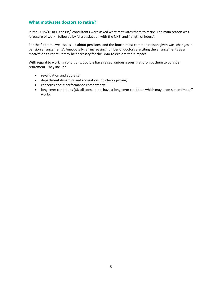### <span id="page-5-0"></span>**What motivates doctors to retire?**

In the 2015/16 RCP census,<sup>6</sup> consultants were asked what motivates them to retire. The main reason was 'pressure of work', followed by 'dissatisfaction with the NHS' and 'length of hours'.

For the first time we also asked about pensions, and the fourth most common reason given was 'changes in pension arrangements'. Anecdotally, an increasing number of doctors are citing the arrangements as a motivation to retire. It may be necessary for the BMA to explore their impact.

With regard to working conditions, doctors have raised various issues that prompt them to consider retirement. They include

- revalidation and appraisal
- department dynamics and accusations of 'cherry picking'
- concerns about performance competency
- long-term conditions (6% all consultants have a long-term condition which may necessitate time off work).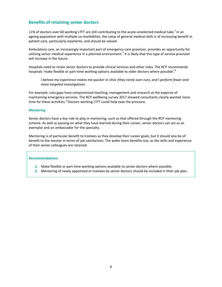### <span id="page-6-0"></span>**Benefits of retaining senior doctors**

11% of doctors over 60 working LTFT are still contributing to the acute unselected medical take.<sup>1</sup> In an ageing population with multiple co-morbidities, the value of general medical skills is of increasing benefit in patient care, particularly inpatients, and should be valued.

Ambulatory care, an increasingly important part of emergency care provision, provides an opportunity for utilising senior medical experience in a planned environment.<sup>7</sup> It is likely that this type of service provision will increase in the future.

Hospitals need to retain senior doctors to provide clinical services and other roles. The RCP recommends hospitals 'make flexible or part-time working options available to older doctors where possible'.<sup>8</sup>

I believe my experience makes me quicker in clinic (they rarely over-run), and I perform fewer and *more targeted investigations.*

For example, rota gaps have compromised teaching, management and research at the expense of maintaining emergency services. The RCP wellbeing survey 2017 showed consultants clearly wanted more time for these activities.<sup>3</sup> Doctors working LTFT could help ease the pressure.

#### **Mentoring**

Senior doctors have a key role to play in mentoring, such as that offered through the RCP mentoring scheme. As well as passing on what they have learned during their career, senior doctors can act as an exemplar and an ambassador for the specialty.

Mentoring is of particular benefit to trainees as they develop their career goals, but it should also be of benefit to the mentor in terms of job satisfaction. The wider team benefits too, as the skills and experience of their senior colleagues are retained.

- **1.** Make flexible or part‐time working options available to senior doctors where possible.
- **2.** Mentoring of newly appointed or trainees by senior doctors should be included in their job plan.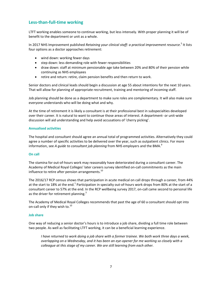### <span id="page-7-0"></span>**Less‐than‐full‐time working**

LTFT working enables someone to continue working, but less intensely. With proper planning it will be of benefit to the department or unit as a whole.

In 2017 NHS Improvement published *Retaining your clinical staff: a practical improvement resource*. <sup>5</sup> It lists four options as a doctor approaches retirement:

- wind down: working fewer days
- step down: less demanding role with fewer responsibilities
- draw down: staff at minimum pensionable age take between 20% and 80% of their pension while continuing as NHS employees
- retire and return: retire, claim pension benefits and then return to work.

Senior doctors and clinical leads should begin a discussion at age 55 about intentions for the next 10 years. That will allow for planning of appropriate recruitment, training and mentoring of incoming staff.

Job planning should be done as a department to make sure roles are complementary. It will also make sure everyone understands who will be doing what and why.

At the time of retirement it is likely a consultant is at their professional best in subspecialties developed over their career. It is natural to want to continue those areas of interest. A department‐ or unit‐wide discussion will aid understanding and help avoid accusations of 'cherry picking'.

#### **Annualised activities**

The hospital and consultant should agree an annual total of programmed activities. Alternatively they could agree a number of specific activities to be delivered over the year, such as outpatient clinics. For more information, see *A guide to consultant job planning* from NHS employers and the BMA.<sup>9</sup>

#### **On call**

The stamina for out‐of‐hours work may reasonably have deteriorated during a consultant career. The Academy of Medical Royal Colleges' later careers survey identified on‐call commitments as the main influence to retire after pension arrangements.<sup>10</sup>

The 2016/17 RCP census shows that participation in acute medical on call drops through a career, from 44% at the start to 18% at the end.<sup>1</sup> Participation in specialty out-of-hours work drops from 80% at the start of a consultant career to 57% at the end. In the RCP wellbeing survey 2017, on-call came second to personal life as the driver for retirement planning. $3$ 

The Academy of Medical Royal Colleges recommends that past the age of 60 a consultant should opt into on-call only if they wish to. $^{10}$ 

#### **Job share**

One way of reducing a senior doctor's hours is to introduce a job share, dividing a full time role between two people. As well as facilitating LTFT working, it can be a beneficial learning experience.

I have returned to work doing a job share with a former trainee. We both work three days a week, *overlapping on a Wednesday, and it has been an eye‐opener for me working so closely with a colleague at this stage of my career. We are still learning from each other.*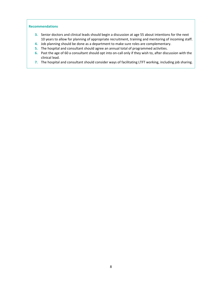- **3.** Senior doctors and clinical leads should begin a discussion at age 55 about intentions for the next 10 years to allow for planning of appropriate recruitment, training and mentoring of incoming staff.
- **4.** Job planning should be done as a department to make sure roles are complementary.
- **5.** The hospital and consultant should agree an annual total of programmed activities.
- **6.** Past the age of 60 a consultant should opt into on‐call only if they wish to, after discussion with the clinical lead.
- **7.** The hospital and consultant should consider ways of facilitating LTFT working, including job sharing.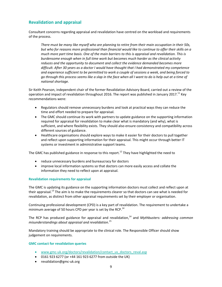## <span id="page-9-0"></span>**Revalidation and appraisal**

Consultant concerns regarding appraisal and revalidation have centred on the workload and requirements of the process.

*There must be many like myself who are planning to retire from their main occupation in their 50s,* but who for reasons more professional than financial would like to continue to offer their skills on a *much more part time basis. One of the main barriers to this is appraisal and revalidation. This is burdensome enough when in full time work but becomes much harder as the clinical activity reduces and the opportunity to document and collect the evidence demanded becomes more difficult. After 30 years as a doctor I would have thought that I had demonstrated my competence and experience sufficient to be permitted to work a couple of sessions a week, and being forced to* go through this process seems like a slap in the face when all I want to do is help out at a time of *national shortage.*

Sir Keith Pearson, independent chair of the former Revalidation Advisory Board, carried out a review of the operation and impact of revalidation throughout 2016. The report was published in January 2017.<sup>11</sup> Key recommendations were:

- Regulators should remove unnecessary burdens and look at practical ways they can reduce the time and effort needed to prepare for appraisal.
- The GMC should continue its work with partners to update guidance on the supporting information required for appraisal for revalidation to make clear what is mandatory (and why), what is sufficient, and where flexibility exists. They should also ensure consistency and compatibility across different sources of guidance.
- Healthcare organisations should explore ways to make it easier for their doctors to pull together and reflect upon supporting information for their appraisal. This might occur through better IT systems or investment in administrative support teams.

The GMC has published guidance in response to this report.<sup>12</sup> They have highlighted the need to

- reduce unnecessary burdens and bureaucracy for doctors
- improve local information systems so that doctors can more easily access and collate the information they need to reflect upon at appraisal.

#### **Revalidation requirements for appraisal**

The GMC is updating its guidance on the supporting information doctors must collect and reflect upon at their appraisal.<sup>13</sup> The aim is to make the requirements clearer so that doctors can see what is needed for revalidation, as distinct from other appraisal requirements set by their employer or organisation.

Continuing professional development (CPD) is a key part of revalidation. The requirement to undertake a minimum average of 50 hours CPD per year is set by the RCP.<sup>14</sup>

The RCP has produced guidance for appraisal and revalidation,<sup>14</sup> and *Mythbusters: addressing common misunderstandings about appraisal and revalidation*. 15

Mandatory training should be appropriate to the clinical role. The Responsible Officer should show judgement on requirements.

#### **GMC contact for revalidation queries**

- www.gmc-uk.org/doctors/revalidation/contact us doctors reval.asp
- 0161 923 6277 (or +44 161 923 6277 from outside the UK)
- revalidation@gmc-uk.org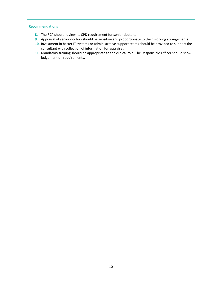- **8.** The RCP should review its CPD requirement for senior doctors.
- **9.** Appraisal of senior doctors should be sensitive and proportionate to their working arrangements.
- **10.** Investment in better IT systems or administrative support teams should be provided to support the consultant with collection of information for appraisal.
- **11.** Mandatory training should be appropriate to the clinical role. The Responsible Officer should show judgement on requirements.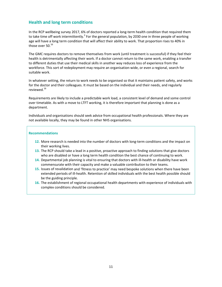### <span id="page-11-0"></span>**Health and long term conditions**

In the RCP wellbeing survey 2017, 6% of doctors reported a long-term health condition that required them to take time off work intermittently.<sup>3</sup> For the general population, by 2030 one in three people of working age will have a long term condition that will affect their ability to work. That proportion rises to 40% in those over 50.<sup>16</sup>

The GMC requires doctors to remove themselves from work (until treatment is successful) if they feel their health is detrimentally affecting their work. If a doctor cannot return to the same work, enabling a transfer to different duties that use their medical skills in another way reduces loss of experience from the workforce. This sort of redeployment may require an organisation-wide, or even a regional, search for suitable work.

In whatever setting, the return to work needs to be organised so that it maintains patient safety, and works for the doctor and their colleagues. It must be based on the individual and their needs, and regularly reviewed.<sup>16</sup>

Requirements are likely to include a predictable work load, a consistent level of demand and some control over timetable. As with a move to LTFT working, it is therefore important that planning is done as a department.

Individuals and organisations should seek advice from occupational health professionals. Where they are not available locally, they may be found in other NHS organisations.

- 12. More research is needed into the number of doctors with long-term conditions and the impact on their working lives.
- **13.** The RCP should take a lead in a positive, proactive approach to finding solutions that give doctors who are disabled or have a long term health condition the best chance of continuing to work.
- 14. Departmental job planning is vital to ensuring that doctors with ill-health or disability have work commensurate with their capacity and make a valuable contribution to their teams.
- **15.** Issues of revalidation and 'fitness to practice' may need bespoke solutions when there have been extended periods of ill‐health. Retention of skilled individuals with the best health possible should be the guiding principle.
- **16.** The establishment of regional occupational health departments with experience of individuals with complex conditions should be considered.